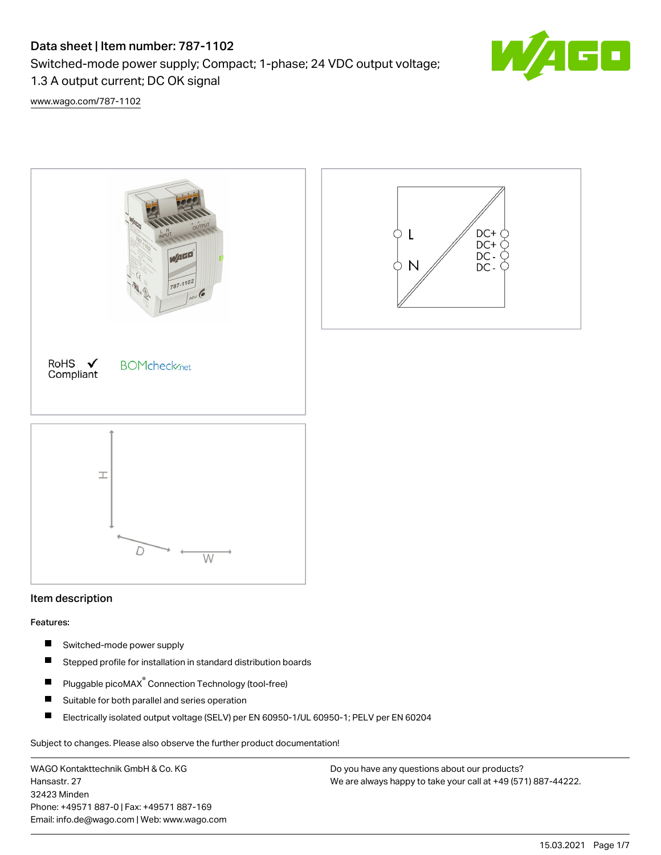# Data sheet | Item number: 787-1102

Switched-mode power supply; Compact; 1-phase; 24 VDC output voltage;

1.3 A output current; DC OK signal

[www.wago.com/787-1102](http://www.wago.com/787-1102)



## Item description

#### Features:

- П Switched-mode power supply
- $\blacksquare$ Stepped profile for installation in standard distribution boards
- Pluggable picoMAX<sup>®</sup> Connection Technology (tool-free)  $\blacksquare$
- $\blacksquare$ Suitable for both parallel and series operation
- $\blacksquare$ Electrically isolated output voltage (SELV) per EN 60950-1/UL 60950-1; PELV per EN 60204

Subject to changes. Please also observe the further product documentation!

WAGO Kontakttechnik GmbH & Co. KG Hansastr. 27 32423 Minden Phone: +49571 887-0 | Fax: +49571 887-169 Email: info.de@wago.com | Web: www.wago.com

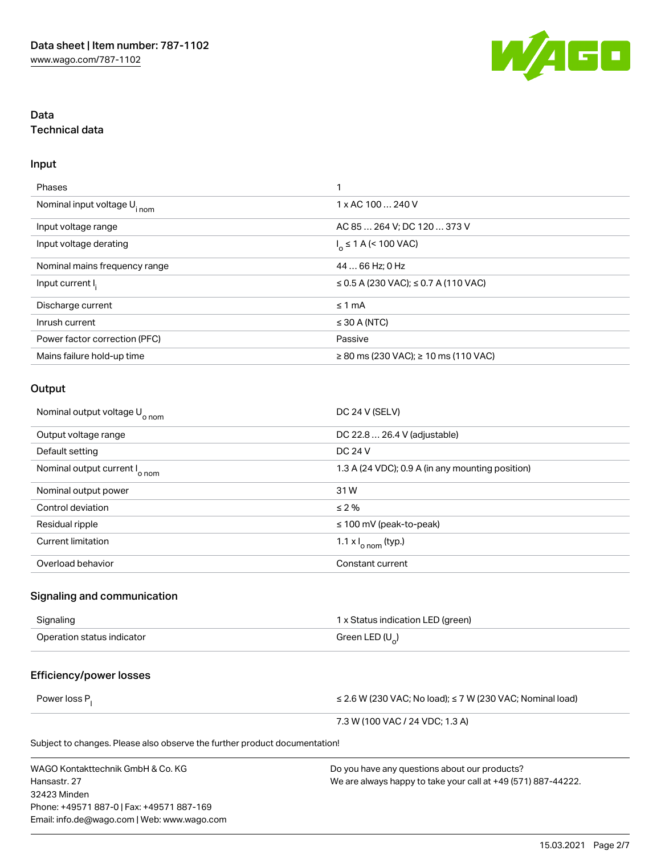

## Data Technical data

#### Input

| Phases                                  | ◀                                              |
|-----------------------------------------|------------------------------------------------|
| Nominal input voltage U <sub>inom</sub> | 1 x AC 100  240 V                              |
| Input voltage range                     | AC 85  264 V; DC 120  373 V                    |
| Input voltage derating                  | $I_0 \le 1$ A (< 100 VAC)                      |
| Nominal mains frequency range           | 44  66 Hz; 0 Hz                                |
| Input current I.                        | ≤ 0.5 A (230 VAC); ≤ 0.7 A (110 VAC)           |
| Discharge current                       | $\leq 1$ mA                                    |
| Inrush current                          | $\leq$ 30 A (NTC)                              |
| Power factor correction (PFC)           | Passive                                        |
| Mains failure hold-up time              | $\geq$ 80 ms (230 VAC); $\geq$ 10 ms (110 VAC) |

#### **Output**

| Nominal output voltage U <sub>onom</sub> | DC 24 V (SELV)                                   |
|------------------------------------------|--------------------------------------------------|
| Output voltage range                     | DC 22.8  26.4 V (adjustable)                     |
| Default setting                          | DC 24 V                                          |
| Nominal output current I <sub>onom</sub> | 1.3 A (24 VDC); 0.9 A (in any mounting position) |
| Nominal output power                     | 31W                                              |
| Control deviation                        | $\leq 2\%$                                       |
| Residual ripple                          | $\leq$ 100 mV (peak-to-peak)                     |
| <b>Current limitation</b>                | 1.1 $\times$ $\vert_{\text{o nom}}$ (typ.)       |
| Overload behavior                        | Constant current                                 |

#### Signaling and communication

| Signaling                  | 1 x Status indication LED (green) |
|----------------------------|-----------------------------------|
| Operation status indicator | Green LED $(U_)$                  |

## Efficiency/power losses

Power loss P<sub>l</sub>

≤ 2.6 W (230 VAC; No load); ≤ 7 W (230 VAC; Nominal load)

7.3 W (100 VAC / 24 VDC; 1.3 A)

Subject to changes. Please also observe the further product documentation!

WAGO Kontakttechnik GmbH & Co. KG Hansastr. 27 32423 Minden Phone: +49571 887-0 | Fax: +49571 887-169 Email: info.de@wago.com | Web: www.wago.com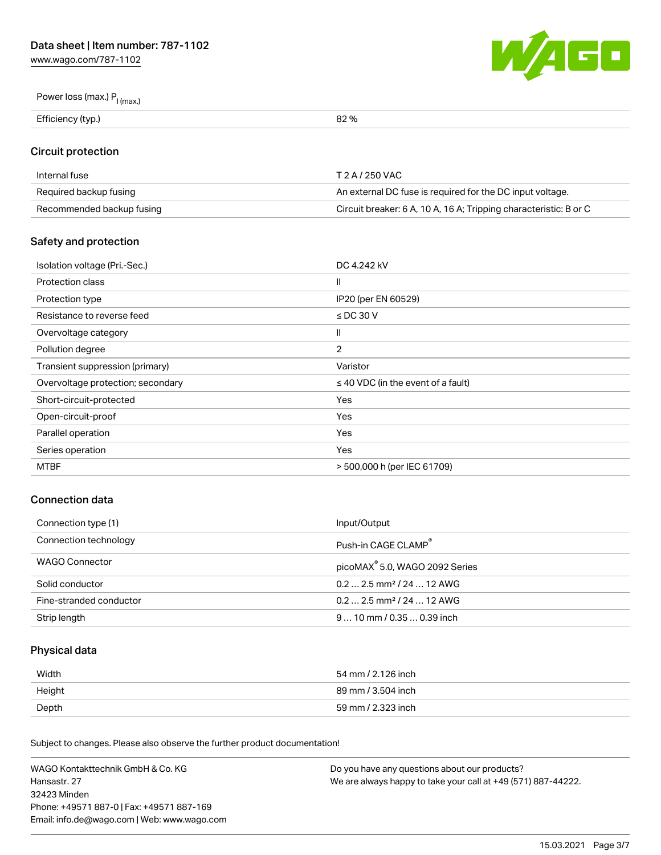[www.wago.com/787-1102](http://www.wago.com/787-1102)



# Power loss (max.)  $P_{l \text{ (max.)}}$

Efficiency (typ.) 82 %

## Circuit protection

| Internal fuse             | T 2 A / 250 VAC                                                   |
|---------------------------|-------------------------------------------------------------------|
| Required backup fusing    | An external DC fuse is required for the DC input voltage.         |
| Recommended backup fusing | Circuit breaker: 6 A, 10 A, 16 A; Tripping characteristic: B or C |

## Safety and protection

| Isolation voltage (Pri.-Sec.)     | DC 4.242 kV                             |
|-----------------------------------|-----------------------------------------|
| Protection class                  | $\mathsf{I}$                            |
| Protection type                   | IP20 (per EN 60529)                     |
| Resistance to reverse feed        | $\le$ DC 30 V                           |
| Overvoltage category              | $\mathbf{I}$                            |
| Pollution degree                  | $\overline{2}$                          |
| Transient suppression (primary)   | Varistor                                |
| Overvoltage protection; secondary | $\leq$ 40 VDC (in the event of a fault) |
| Short-circuit-protected           | Yes                                     |
| Open-circuit-proof                | Yes                                     |
| Parallel operation                | Yes                                     |
| Series operation                  | Yes                                     |
| MTBF                              | > 500,000 h (per IEC 61709)             |

## Connection data

| Connection type (1)     | Input/Output                               |
|-------------------------|--------------------------------------------|
| Connection technology   | Push-in CAGE CLAMP <sup>®</sup>            |
| WAGO Connector          | picoMAX <sup>®</sup> 5.0, WAGO 2092 Series |
| Solid conductor         | $0.22.5$ mm <sup>2</sup> / 24  12 AWG      |
| Fine-stranded conductor | $0.22.5$ mm <sup>2</sup> / 24  12 AWG      |
| Strip length            | $910$ mm $/0.350.39$ inch                  |

## Physical data

| Width  | 54 mm / 2.126 inch |
|--------|--------------------|
| Height | 89 mm / 3.504 inch |
| Depth  | 59 mm / 2.323 inch |

Subject to changes. Please also observe the further product documentation!

| WAGO Kontakttechnik GmbH & Co. KG           | Do you have any questions about our products?                 |
|---------------------------------------------|---------------------------------------------------------------|
| Hansastr. 27                                | We are always happy to take your call at +49 (571) 887-44222. |
| 32423 Minden                                |                                                               |
| Phone: +49571 887-0   Fax: +49571 887-169   |                                                               |
| Email: info.de@wago.com   Web: www.wago.com |                                                               |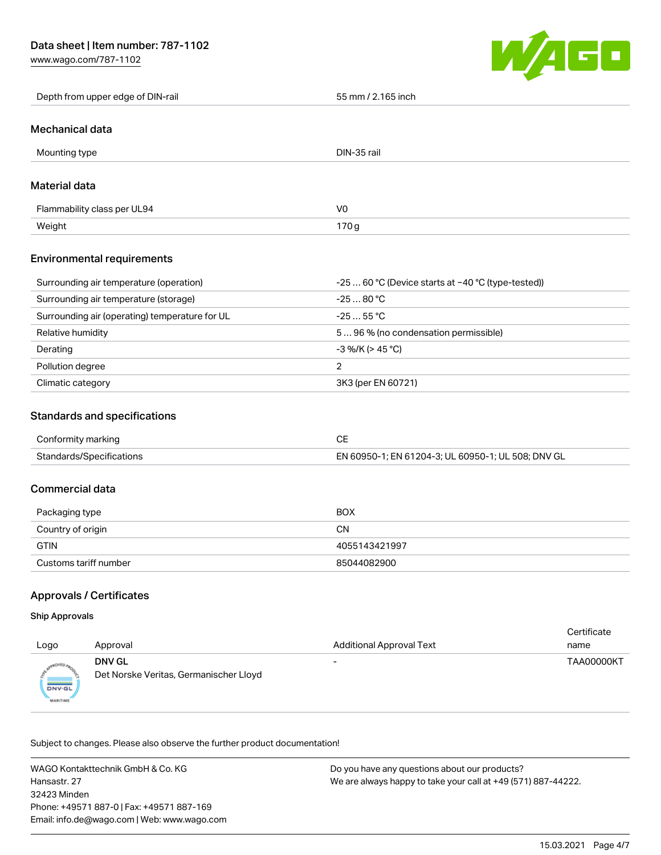[www.wago.com/787-1102](http://www.wago.com/787-1102)



#### Mechanical data

| Mounting type               | DIN-35 rail    |
|-----------------------------|----------------|
| Material data               |                |
| Flammability class per UL94 | V <sub>0</sub> |
| Weight                      | 170g           |

#### Environmental requirements

| Surrounding air temperature (operation)        | $-2560$ °C (Device starts at $-40$ °C (type-tested)) |
|------------------------------------------------|------------------------------------------------------|
| Surrounding air temperature (storage)          | $-2580 °C$                                           |
| Surrounding air (operating) temperature for UL | $-2555$ °C                                           |
| Relative humidity                              | 596 % (no condensation permissible)                  |
| Derating                                       | $-3$ %/K (> 45 °C)                                   |
| Pollution degree                               |                                                      |
| Climatic category                              | 3K3 (per EN 60721)                                   |

## Standards and specifications

| Conformity marking       |                                                    |
|--------------------------|----------------------------------------------------|
| Standards/Specifications | EN 60950-1; EN 61204-3; UL 60950-1; UL 508; DNV GL |

## Commercial data

| Packaging type        | <b>BOX</b>    |
|-----------------------|---------------|
| Country of origin     | CΝ            |
| <b>GTIN</b>           | 4055143421997 |
| Customs tariff number | 85044082900   |

#### Approvals / Certificates

#### Ship Approvals

| Logo                      | Approval                                                | <b>Additional Approval Text</b> | Certificate<br>name |
|---------------------------|---------------------------------------------------------|---------------------------------|---------------------|
| DNV-GL<br><b>MARITIME</b> | <b>DNV GL</b><br>Det Norske Veritas, Germanischer Lloyd | -                               | <b>TAA00000KT</b>   |

Subject to changes. Please also observe the further product documentation!

WAGO Kontakttechnik GmbH & Co. KG Hansastr. 27 32423 Minden Phone: +49571 887-0 | Fax: +49571 887-169 Email: info.de@wago.com | Web: www.wago.com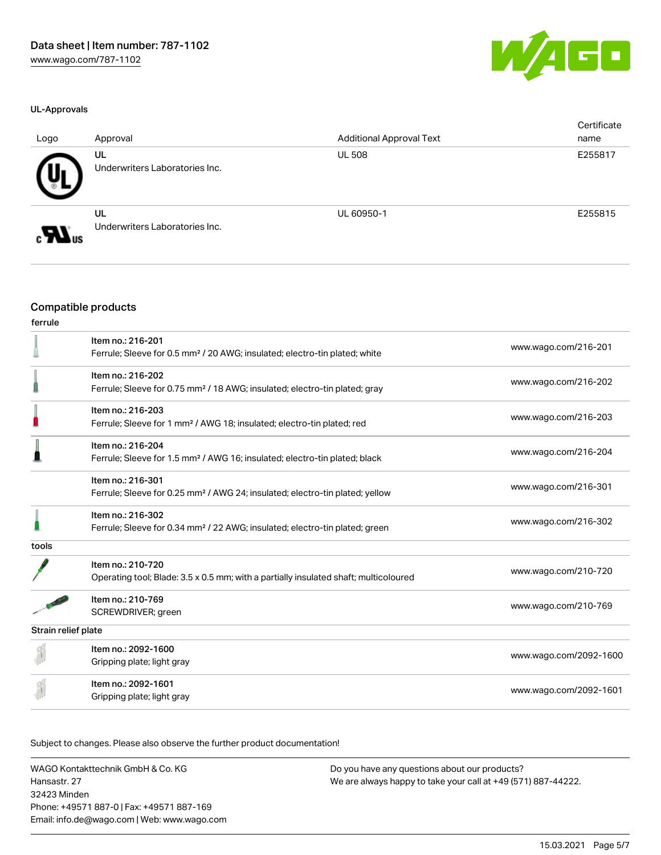#### UL-Approvals

| ×<br>V۱ | a shekara | 40 |
|---------|-----------|----|
|         |           |    |

| Logo                                     | Approval                             | <b>Additional Approval Text</b> | Certificate<br>name |
|------------------------------------------|--------------------------------------|---------------------------------|---------------------|
|                                          | UL<br>Underwriters Laboratories Inc. | <b>UL 508</b>                   | E255817             |
| $\boldsymbol{\mathcal{H}}$ <sub>us</sub> | UL<br>Underwriters Laboratories Inc. | UL 60950-1                      | E255815             |

## Compatible products

| ferrule             |                                                                                                               |                        |
|---------------------|---------------------------------------------------------------------------------------------------------------|------------------------|
|                     | Item no.: 216-201<br>Ferrule; Sleeve for 0.5 mm <sup>2</sup> / 20 AWG; insulated; electro-tin plated; white   | www.wago.com/216-201   |
|                     | Item no.: 216-202<br>Ferrule; Sleeve for 0.75 mm <sup>2</sup> / 18 AWG; insulated; electro-tin plated; gray   | www.wago.com/216-202   |
|                     | Item no.: 216-203<br>Ferrule; Sleeve for 1 mm <sup>2</sup> / AWG 18; insulated; electro-tin plated; red       | www.wago.com/216-203   |
|                     | Item no.: 216-204<br>Ferrule; Sleeve for 1.5 mm <sup>2</sup> / AWG 16; insulated; electro-tin plated; black   | www.wago.com/216-204   |
|                     | Item no.: 216-301<br>Ferrule; Sleeve for 0.25 mm <sup>2</sup> / AWG 24; insulated; electro-tin plated; yellow | www.wago.com/216-301   |
|                     | Item no.: 216-302<br>Ferrule; Sleeve for 0.34 mm <sup>2</sup> / 22 AWG; insulated; electro-tin plated; green  | www.wago.com/216-302   |
| tools               |                                                                                                               |                        |
|                     | Item no.: 210-720<br>Operating tool; Blade: 3.5 x 0.5 mm; with a partially insulated shaft; multicoloured     | www.wago.com/210-720   |
|                     | Item no.: 210-769<br>SCREWDRIVER; green                                                                       | www.wago.com/210-769   |
| Strain relief plate |                                                                                                               |                        |
|                     | Item no.: 2092-1600<br>Gripping plate; light gray                                                             | www.wago.com/2092-1600 |
|                     | Item no.: 2092-1601<br>Gripping plate; light gray                                                             | www.wago.com/2092-1601 |

Subject to changes. Please also observe the further product documentation!

WAGO Kontakttechnik GmbH & Co. KG Hansastr. 27 32423 Minden Phone: +49571 887-0 | Fax: +49571 887-169 Email: info.de@wago.com | Web: www.wago.com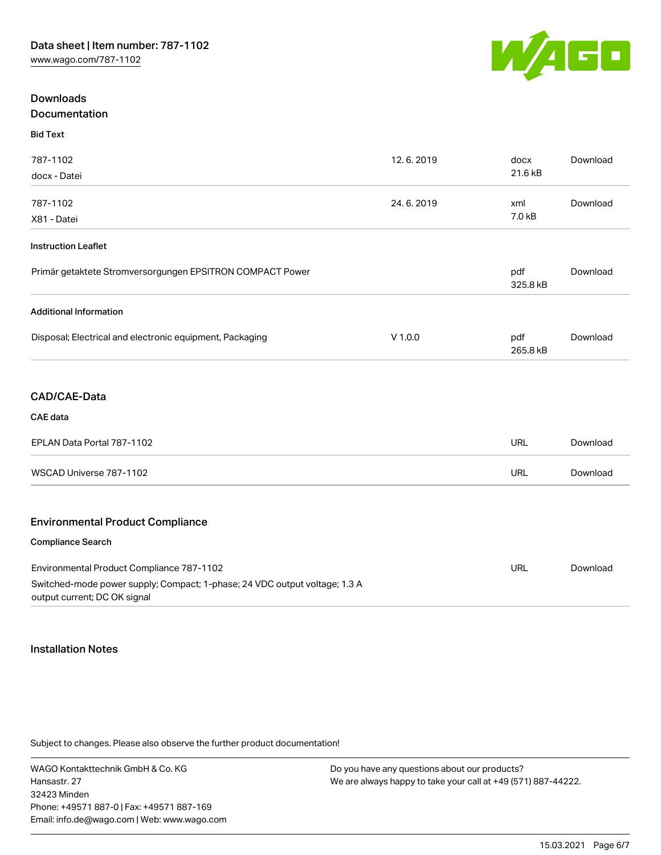

## Downloads Documentation

| pocumentatio |  |  |  |
|--------------|--|--|--|
|              |  |  |  |

Bid Text

| 787-1102                                                                                                   | 12.6.2019 | docx            | Download |
|------------------------------------------------------------------------------------------------------------|-----------|-----------------|----------|
| docx - Datei                                                                                               |           | 21.6 kB         |          |
| 787-1102                                                                                                   | 24.6.2019 | xml             | Download |
| X81 - Datei                                                                                                |           | 7.0 kB          |          |
|                                                                                                            |           |                 |          |
| <b>Instruction Leaflet</b>                                                                                 |           |                 |          |
| Primär getaktete Stromversorgungen EPSITRON COMPACT Power                                                  |           | pdf<br>325.8 kB | Download |
| <b>Additional Information</b>                                                                              |           |                 |          |
| Disposal; Electrical and electronic equipment, Packaging                                                   | $V$ 1.0.0 | pdf             | Download |
|                                                                                                            |           | 265.8 kB        |          |
|                                                                                                            |           |                 |          |
| CAD/CAE-Data                                                                                               |           |                 |          |
| CAE data                                                                                                   |           |                 |          |
| EPLAN Data Portal 787-1102                                                                                 |           | <b>URL</b>      | Download |
| WSCAD Universe 787-1102                                                                                    |           | <b>URL</b>      | Download |
|                                                                                                            |           |                 |          |
| <b>Environmental Product Compliance</b>                                                                    |           |                 |          |
| Compliance Search                                                                                          |           |                 |          |
| Environmental Product Compliance 787-1102                                                                  |           | URL             | Download |
| Switched-mode power supply; Compact; 1-phase; 24 VDC output voltage; 1.3 A<br>output current; DC OK signal |           |                 |          |

#### Installation Notes

Subject to changes. Please also observe the further product documentation!

WAGO Kontakttechnik GmbH & Co. KG Hansastr. 27 32423 Minden Phone: +49571 887-0 | Fax: +49571 887-169 Email: info.de@wago.com | Web: www.wago.com